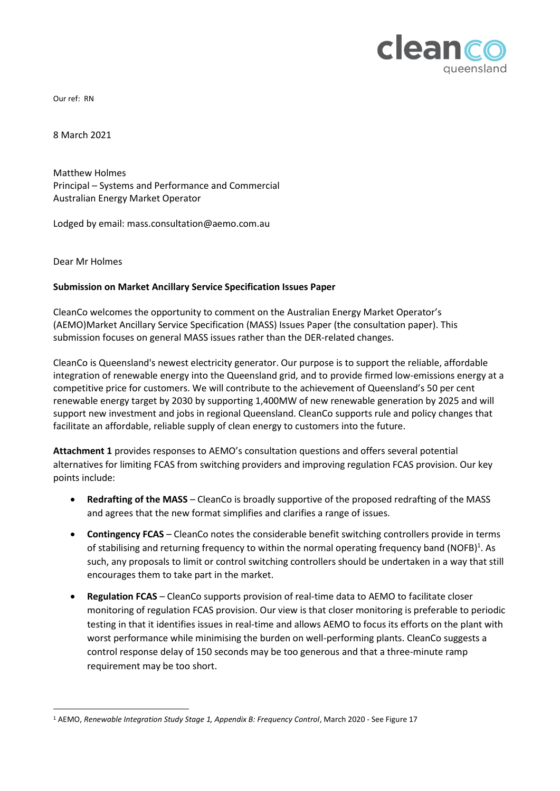

Our ref: RN

8 March 2021

Matthew Holmes Principal – Systems and Performance and Commercial Australian Energy Market Operator

Lodged by email: mass.consultation@aemo.com.au

Dear Mr Holmes

#### **Submission on Market Ancillary Service Specification Issues Paper**

CleanCo welcomes the opportunity to comment on the Australian Energy Market Operator's (AEMO)Market Ancillary Service Specification (MASS) Issues Paper (the consultation paper). This submission focuses on general MASS issues rather than the DER-related changes.

CleanCo is Queensland's newest electricity generator. Our purpose is to support the reliable, affordable integration of renewable energy into the Queensland grid, and to provide firmed low-emissions energy at a competitive price for customers. We will contribute to the achievement of Queensland's 50 per cent renewable energy target by 2030 by supporting 1,400MW of new renewable generation by 2025 and will support new investment and jobs in regional Queensland. CleanCo supports rule and policy changes that facilitate an affordable, reliable supply of clean energy to customers into the future.

**Attachment 1** provides responses to AEMO's consultation questions and offers several potential alternatives for limiting FCAS from switching providers and improving regulation FCAS provision. Our key points include:

- **Redrafting of the MASS** CleanCo is broadly supportive of the proposed redrafting of the MASS and agrees that the new format simplifies and clarifies a range of issues.
- **Contingency FCAS** CleanCo notes the considerable benefit switching controllers provide in terms of stabilising and returning frequency to within the normal operating frequency band (NOFB)<sup>1</sup>. As such, any proposals to limit or control switching controllers should be undertaken in a way that still encourages them to take part in the market.
- **Regulation FCAS** CleanCo supports provision of real-time data to AEMO to facilitate closer monitoring of regulation FCAS provision. Our view is that closer monitoring is preferable to periodic testing in that it identifies issues in real-time and allows AEMO to focus its efforts on the plant with worst performance while minimising the burden on well-performing plants. CleanCo suggests a control response delay of 150 seconds may be too generous and that a three-minute ramp requirement may be too short.

<sup>1</sup> AEMO, *Renewable Integration Study Stage 1, Appendix B: Frequency Control*, March 2020 - See Figure 17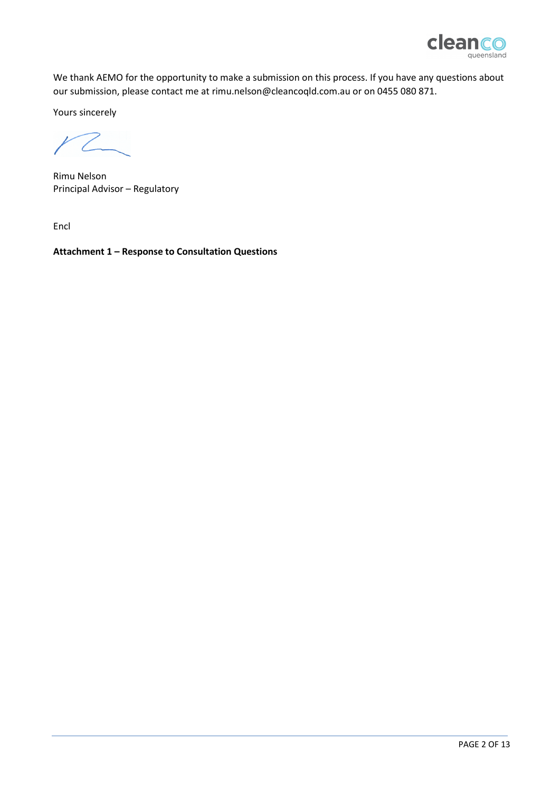

We thank AEMO for the opportunity to make a submission on this process. If you have any questions about our submission, please contact me at [rimu.nelson@cleancoqld.com.au](mailto:rimu.nelson@cleancoqld.com.au) or on 0455 080 871.

Yours sincerely

 $12$ 

Rimu Nelson Principal Advisor – Regulatory

Encl

**Attachment 1 – Response to Consultation Questions**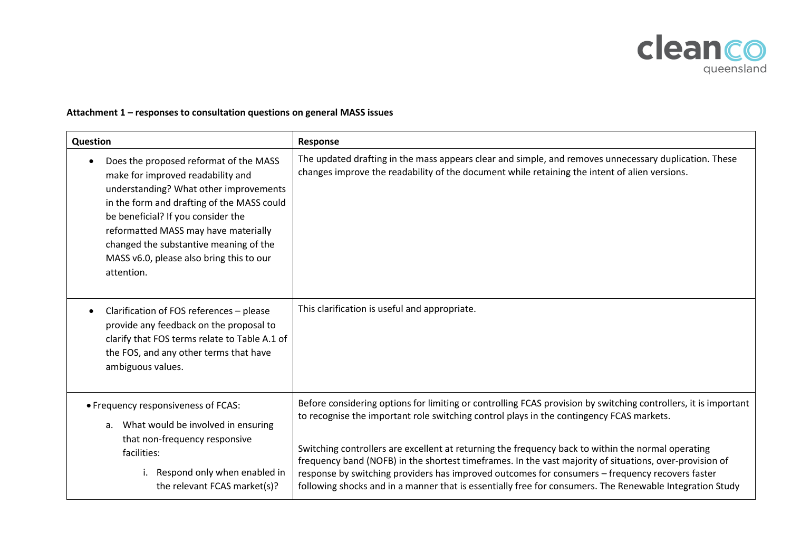

# **Attachment 1 – responses to consultation questions on general MASS issues**

| <b>Question</b>                                                                                                                                                                                                                                                                                                                                                    | Response                                                                                                                                                                                                                                                                                                                                                                                                                                                                                                                                                                                                                                    |
|--------------------------------------------------------------------------------------------------------------------------------------------------------------------------------------------------------------------------------------------------------------------------------------------------------------------------------------------------------------------|---------------------------------------------------------------------------------------------------------------------------------------------------------------------------------------------------------------------------------------------------------------------------------------------------------------------------------------------------------------------------------------------------------------------------------------------------------------------------------------------------------------------------------------------------------------------------------------------------------------------------------------------|
| Does the proposed reformat of the MASS<br>$\bullet$<br>make for improved readability and<br>understanding? What other improvements<br>in the form and drafting of the MASS could<br>be beneficial? If you consider the<br>reformatted MASS may have materially<br>changed the substantive meaning of the<br>MASS v6.0, please also bring this to our<br>attention. | The updated drafting in the mass appears clear and simple, and removes unnecessary duplication. These<br>changes improve the readability of the document while retaining the intent of alien versions.                                                                                                                                                                                                                                                                                                                                                                                                                                      |
| Clarification of FOS references - please<br>$\bullet$<br>provide any feedback on the proposal to<br>clarify that FOS terms relate to Table A.1 of<br>the FOS, and any other terms that have<br>ambiguous values.                                                                                                                                                   | This clarification is useful and appropriate.                                                                                                                                                                                                                                                                                                                                                                                                                                                                                                                                                                                               |
| • Frequency responsiveness of FCAS:<br>a. What would be involved in ensuring<br>that non-frequency responsive<br>facilities:<br>Respond only when enabled in<br>i.<br>the relevant FCAS market(s)?                                                                                                                                                                 | Before considering options for limiting or controlling FCAS provision by switching controllers, it is important<br>to recognise the important role switching control plays in the contingency FCAS markets.<br>Switching controllers are excellent at returning the frequency back to within the normal operating<br>frequency band (NOFB) in the shortest timeframes. In the vast majority of situations, over-provision of<br>response by switching providers has improved outcomes for consumers - frequency recovers faster<br>following shocks and in a manner that is essentially free for consumers. The Renewable Integration Study |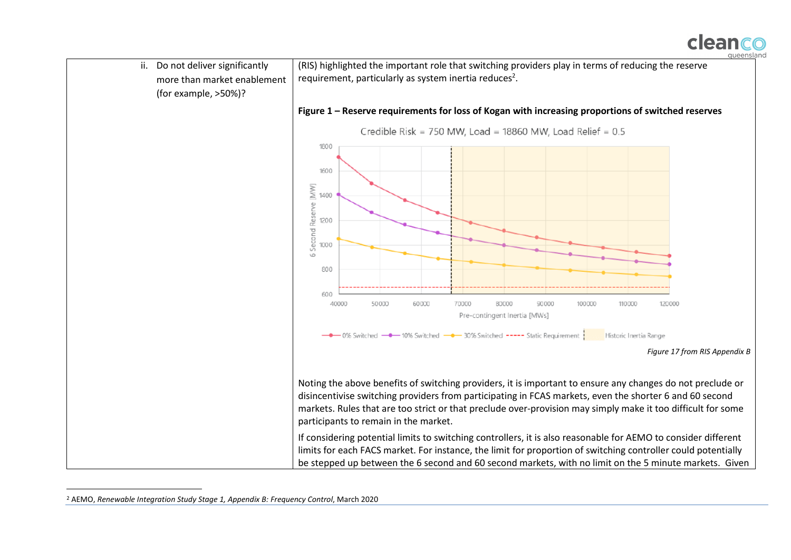

ii. Do not deliver significantly (RIS) highlighted the important role that switching providers play in terms of reducing the reserve requirement, particularly as system inertia reduces<sup>2</sup>. more than market enablement (for example, >50%)? **Figure 1 – Reserve requirements for loss of Kogan with increasing proportions of switched reserves** Credible Risk = 750 MW, Load = 18860 MW, Load Relief =  $0.5$ 1800 1600 **5 Second Reserve [MW]** 1400 1200 1000 800 600 40000 50000 60000 70000 80000 90000 100000 110000 120000 Pre-contingent Inertia [MWs] • 0% Switched - 10% Switched - 30% Switched ---- Static Requirement Historic Inertia Range *Figure 17 from RIS Appendix B* Noting the above benefits of switching providers, it is important to ensure any changes do not preclude or disincentivise switching providers from participating in FCAS markets, even the shorter 6 and 60 second markets. Rules that are too strict or that preclude over-provision may simply make it too difficult for some participants to remain in the market. If considering potential limits to switching controllers, it is also reasonable for AEMO to consider different limits for each FACS market. For instance, the limit for proportion of switching controller could potentially be stepped up between the 6 second and 60 second markets, with no limit on the 5 minute markets. Given

<sup>2</sup> AEMO, *Renewable Integration Study Stage 1, Appendix B: Frequency Control*, March 2020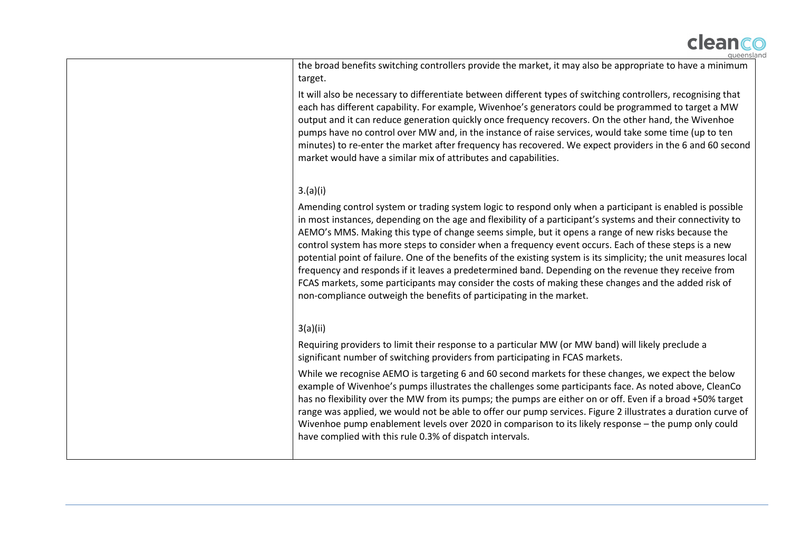

the broad benefits switching controllers provide the market, it may also be appropriate to have a minimum target.

It will also be necessary to differentiate between different types of switching controllers, recognising that each has different capability. For example, Wivenhoe's generators could be programmed to target a MW output and it can reduce generation quickly once frequency recovers. On the other hand, the Wivenhoe pumps have no control over MW and, in the instance of raise services, would take some time (up to ten minutes) to re-enter the market after frequency has recovered. We expect providers in the 6 and 60 second market would have a similar mix of attributes and capabilities.

### 3.(a)(i)

Amending control system or trading system logic to respond only when a participant is enabled is possible in most instances, depending on the age and flexibility of a participant's systems and their connectivity to AEMO's MMS. Making this type of change seems simple, but it opens a range of new risks because the control system has more steps to consider when a frequency event occurs. Each of these steps is a new potential point of failure. One of the benefits of the existing system is its simplicity; the unit measures local frequency and responds if it leaves a predetermined band. Depending on the revenue they receive from FCAS markets, some participants may consider the costs of making these changes and the added risk of non-compliance outweigh the benefits of participating in the market.

## 3(a)(ii)

Requiring providers to limit their response to a particular MW (or MW band) will likely preclude a significant number of switching providers from participating in FCAS markets.

While we recognise AEMO is targeting 6 and 60 second markets for these changes, we expect the below example of Wivenhoe's pumps illustrates the challenges some participants face. As noted above, CleanCo has no flexibility over the MW from its pumps; the pumps are either on or off. Even if a broad +50% target range was applied, we would not be able to offer our pump services. Figure 2 illustrates a duration curve of Wivenhoe pump enablement levels over 2020 in comparison to its likely response – the pump only could have complied with this rule 0.3% of dispatch intervals.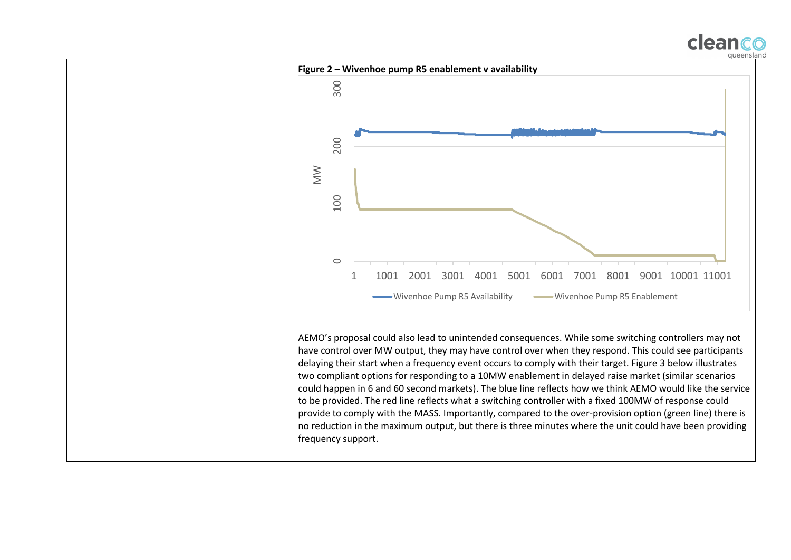

could happen in 6 and 60 second markets). The blue line reflects how we think AEMO would like the service to be provided. The red line reflects what a switching controller with a fixed 100MW of response could provide to comply with the MASS. Importantly, compared to the over-provision option (green line) there is no reduction in the maximum output, but there is three minutes where the unit could have been providing frequency support.

clean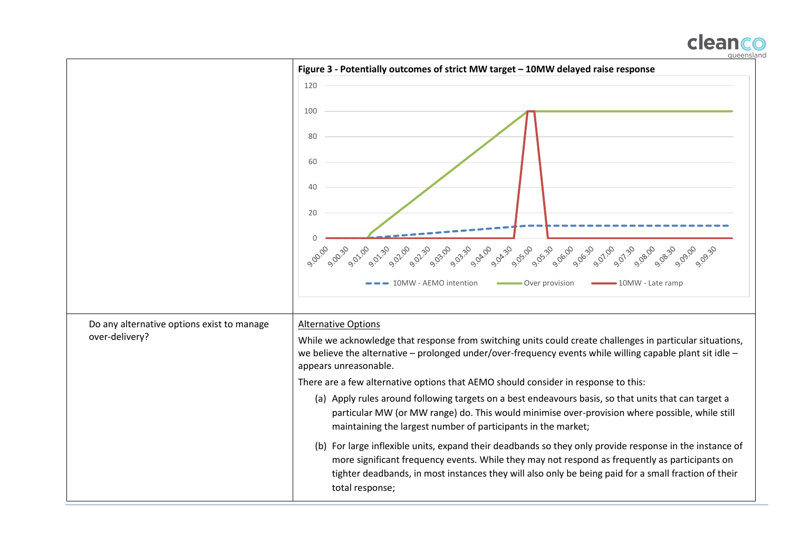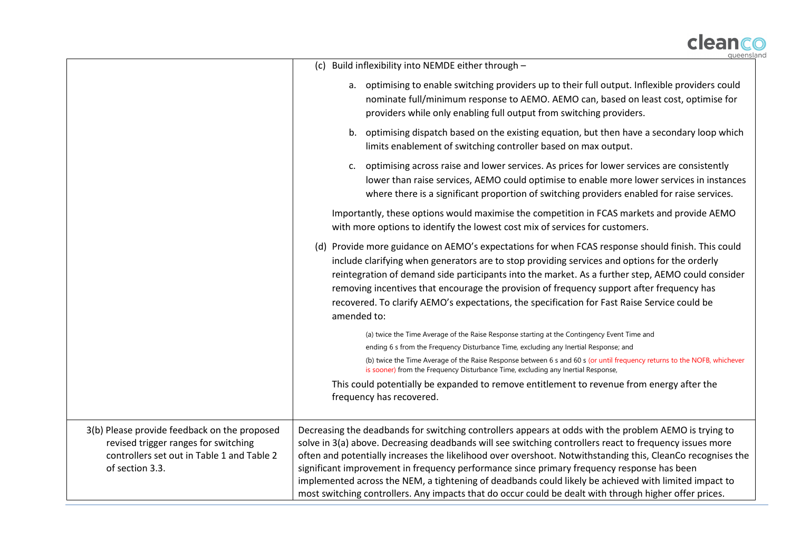

|                                                                                                                                                       | queensla                                                                                                                                                                                                                                                                                                                                                                                                                                                                                                                                                                                                                                         |
|-------------------------------------------------------------------------------------------------------------------------------------------------------|--------------------------------------------------------------------------------------------------------------------------------------------------------------------------------------------------------------------------------------------------------------------------------------------------------------------------------------------------------------------------------------------------------------------------------------------------------------------------------------------------------------------------------------------------------------------------------------------------------------------------------------------------|
|                                                                                                                                                       | Build inflexibility into NEMDE either through -<br>(c)                                                                                                                                                                                                                                                                                                                                                                                                                                                                                                                                                                                           |
|                                                                                                                                                       | optimising to enable switching providers up to their full output. Inflexible providers could<br>а.<br>nominate full/minimum response to AEMO. AEMO can, based on least cost, optimise for<br>providers while only enabling full output from switching providers.                                                                                                                                                                                                                                                                                                                                                                                 |
|                                                                                                                                                       | optimising dispatch based on the existing equation, but then have a secondary loop which<br>b.<br>limits enablement of switching controller based on max output.                                                                                                                                                                                                                                                                                                                                                                                                                                                                                 |
|                                                                                                                                                       | optimising across raise and lower services. As prices for lower services are consistently<br>$c_{\cdot}$<br>lower than raise services, AEMO could optimise to enable more lower services in instances<br>where there is a significant proportion of switching providers enabled for raise services.                                                                                                                                                                                                                                                                                                                                              |
|                                                                                                                                                       | Importantly, these options would maximise the competition in FCAS markets and provide AEMO<br>with more options to identify the lowest cost mix of services for customers.                                                                                                                                                                                                                                                                                                                                                                                                                                                                       |
|                                                                                                                                                       | (d) Provide more guidance on AEMO's expectations for when FCAS response should finish. This could<br>include clarifying when generators are to stop providing services and options for the orderly<br>reintegration of demand side participants into the market. As a further step, AEMO could consider<br>removing incentives that encourage the provision of frequency support after frequency has<br>recovered. To clarify AEMO's expectations, the specification for Fast Raise Service could be<br>amended to:                                                                                                                              |
|                                                                                                                                                       | (a) twice the Time Average of the Raise Response starting at the Contingency Event Time and                                                                                                                                                                                                                                                                                                                                                                                                                                                                                                                                                      |
|                                                                                                                                                       | ending 6 s from the Frequency Disturbance Time, excluding any Inertial Response; and                                                                                                                                                                                                                                                                                                                                                                                                                                                                                                                                                             |
|                                                                                                                                                       | (b) twice the Time Average of the Raise Response between 6 s and 60 s (or until frequency returns to the NOFB, whichever<br>is sooner) from the Frequency Disturbance Time, excluding any Inertial Response,                                                                                                                                                                                                                                                                                                                                                                                                                                     |
|                                                                                                                                                       | This could potentially be expanded to remove entitlement to revenue from energy after the<br>frequency has recovered.                                                                                                                                                                                                                                                                                                                                                                                                                                                                                                                            |
| 3(b) Please provide feedback on the proposed<br>revised trigger ranges for switching<br>controllers set out in Table 1 and Table 2<br>of section 3.3. | Decreasing the deadbands for switching controllers appears at odds with the problem AEMO is trying to<br>solve in 3(a) above. Decreasing deadbands will see switching controllers react to frequency issues more<br>often and potentially increases the likelihood over overshoot. Notwithstanding this, CleanCo recognises the<br>significant improvement in frequency performance since primary frequency response has been<br>implemented across the NEM, a tightening of deadbands could likely be achieved with limited impact to<br>most switching controllers. Any impacts that do occur could be dealt with through higher offer prices. |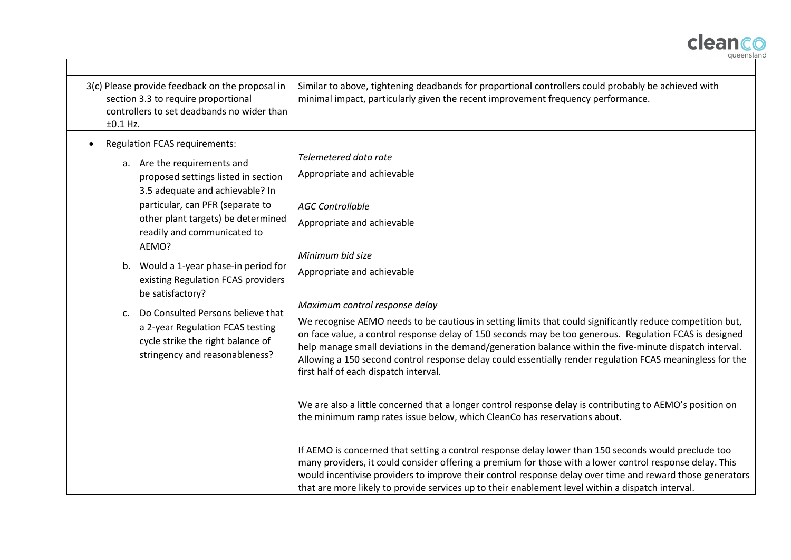

| 3(c) Please provide feedback on the proposal in<br>section 3.3 to require proportional<br>controllers to set deadbands no wider than<br>$±0.1$ Hz.                                                                                                                                                                                                                                                                                                                                                                          | Similar to above, tightening deadbands for proportional controllers could probably be achieved with<br>minimal impact, particularly given the recent improvement frequency performance.                                                                                                                                                                                                                                                                                                                                                                                                                                                                                                                                                                                                                                                                                             |
|-----------------------------------------------------------------------------------------------------------------------------------------------------------------------------------------------------------------------------------------------------------------------------------------------------------------------------------------------------------------------------------------------------------------------------------------------------------------------------------------------------------------------------|-------------------------------------------------------------------------------------------------------------------------------------------------------------------------------------------------------------------------------------------------------------------------------------------------------------------------------------------------------------------------------------------------------------------------------------------------------------------------------------------------------------------------------------------------------------------------------------------------------------------------------------------------------------------------------------------------------------------------------------------------------------------------------------------------------------------------------------------------------------------------------------|
| <b>Regulation FCAS requirements:</b><br>a. Are the requirements and<br>proposed settings listed in section<br>3.5 adequate and achievable? In<br>particular, can PFR (separate to<br>other plant targets) be determined<br>readily and communicated to<br>AEMO?<br>Would a 1-year phase-in period for<br>b.<br>existing Regulation FCAS providers<br>be satisfactory?<br>Do Consulted Persons believe that<br>c.<br>a 2-year Regulation FCAS testing<br>cycle strike the right balance of<br>stringency and reasonableness? | Telemetered data rate<br>Appropriate and achievable<br><b>AGC Controllable</b><br>Appropriate and achievable<br>Minimum bid size<br>Appropriate and achievable<br>Maximum control response delay<br>We recognise AEMO needs to be cautious in setting limits that could significantly reduce competition but,<br>on face value, a control response delay of 150 seconds may be too generous. Regulation FCAS is designed<br>help manage small deviations in the demand/generation balance within the five-minute dispatch interval.<br>Allowing a 150 second control response delay could essentially render regulation FCAS meaningless for the<br>first half of each dispatch interval.<br>We are also a little concerned that a longer control response delay is contributing to AEMO's position on<br>the minimum ramp rates issue below, which CleanCo has reservations about. |
|                                                                                                                                                                                                                                                                                                                                                                                                                                                                                                                             | If AEMO is concerned that setting a control response delay lower than 150 seconds would preclude too<br>many providers, it could consider offering a premium for those with a lower control response delay. This<br>would incentivise providers to improve their control response delay over time and reward those generators<br>that are more likely to provide services up to their enablement level within a dispatch interval.                                                                                                                                                                                                                                                                                                                                                                                                                                                  |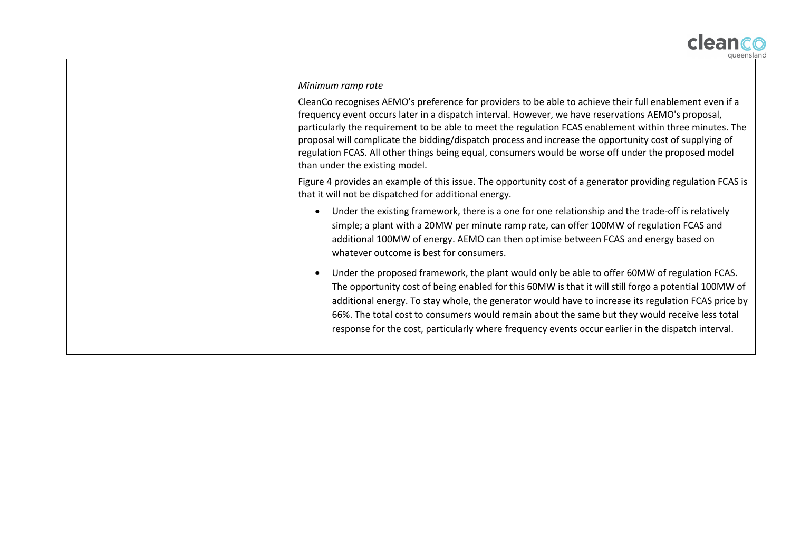

#### *Minimum ramp rate*

CleanCo recognises AEMO's preference for providers to be able to achieve their full enablement even if a frequency event occurs later in a dispatch interval. However, we have reservations AEMO's proposal, particularly the requirement to be able to meet the regulation FCAS enablement within three minutes. The proposal will complicate the bidding/dispatch process and increase the opportunity cost of supplying of regulation FCAS. All other things being equal, consumers would be worse off under the proposed model than under the existing model.

Figure 4 provides an example of this issue. The opportunity cost of a generator providing regulation FCAS is that it will not be dispatched for additional energy.

- Under the existing framework, there is a one for one relationship and the trade-off is relatively simple; a plant with a 20MW per minute ramp rate, can offer 100MW of regulation FCAS and additional 100MW of energy. AEMO can then optimise between FCAS and energy based on whatever outcome is best for consumers.
- Under the proposed framework, the plant would only be able to offer 60MW of regulation FCAS. The opportunity cost of being enabled for this 60MW is that it will still forgo a potential 100MW of additional energy. To stay whole, the generator would have to increase its regulation FCAS price by 66%. The total cost to consumers would remain about the same but they would receive less total response for the cost, particularly where frequency events occur earlier in the dispatch interval.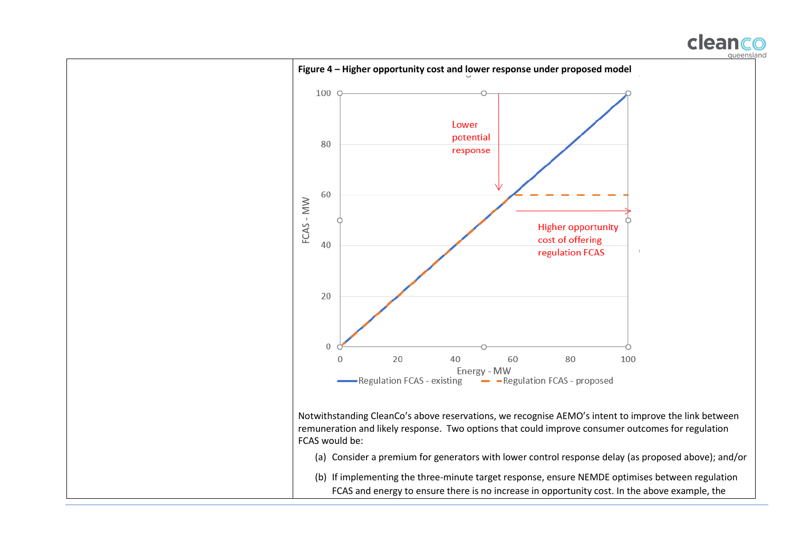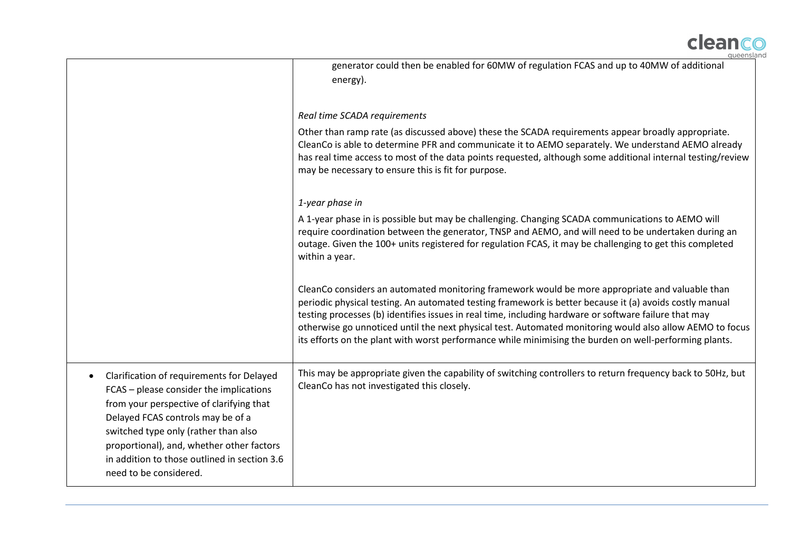

|                                                                                                                                                                                                                                                                                                                                      | queensia                                                                                                                                                                                                                                                                                                                                                                                                                                                                                                                                  |
|--------------------------------------------------------------------------------------------------------------------------------------------------------------------------------------------------------------------------------------------------------------------------------------------------------------------------------------|-------------------------------------------------------------------------------------------------------------------------------------------------------------------------------------------------------------------------------------------------------------------------------------------------------------------------------------------------------------------------------------------------------------------------------------------------------------------------------------------------------------------------------------------|
|                                                                                                                                                                                                                                                                                                                                      | generator could then be enabled for 60MW of regulation FCAS and up to 40MW of additional<br>energy).                                                                                                                                                                                                                                                                                                                                                                                                                                      |
|                                                                                                                                                                                                                                                                                                                                      | Real time SCADA requirements                                                                                                                                                                                                                                                                                                                                                                                                                                                                                                              |
|                                                                                                                                                                                                                                                                                                                                      | Other than ramp rate (as discussed above) these the SCADA requirements appear broadly appropriate.<br>CleanCo is able to determine PFR and communicate it to AEMO separately. We understand AEMO already<br>has real time access to most of the data points requested, although some additional internal testing/review<br>may be necessary to ensure this is fit for purpose.                                                                                                                                                            |
|                                                                                                                                                                                                                                                                                                                                      | 1-year phase in                                                                                                                                                                                                                                                                                                                                                                                                                                                                                                                           |
|                                                                                                                                                                                                                                                                                                                                      | A 1-year phase in is possible but may be challenging. Changing SCADA communications to AEMO will<br>require coordination between the generator, TNSP and AEMO, and will need to be undertaken during an<br>outage. Given the 100+ units registered for regulation FCAS, it may be challenging to get this completed<br>within a year.                                                                                                                                                                                                     |
|                                                                                                                                                                                                                                                                                                                                      | CleanCo considers an automated monitoring framework would be more appropriate and valuable than<br>periodic physical testing. An automated testing framework is better because it (a) avoids costly manual<br>testing processes (b) identifies issues in real time, including hardware or software failure that may<br>otherwise go unnoticed until the next physical test. Automated monitoring would also allow AEMO to focus<br>its efforts on the plant with worst performance while minimising the burden on well-performing plants. |
| Clarification of requirements for Delayed<br>FCAS - please consider the implications<br>from your perspective of clarifying that<br>Delayed FCAS controls may be of a<br>switched type only (rather than also<br>proportional), and, whether other factors<br>in addition to those outlined in section 3.6<br>need to be considered. | This may be appropriate given the capability of switching controllers to return frequency back to 50Hz, but<br>CleanCo has not investigated this closely.                                                                                                                                                                                                                                                                                                                                                                                 |